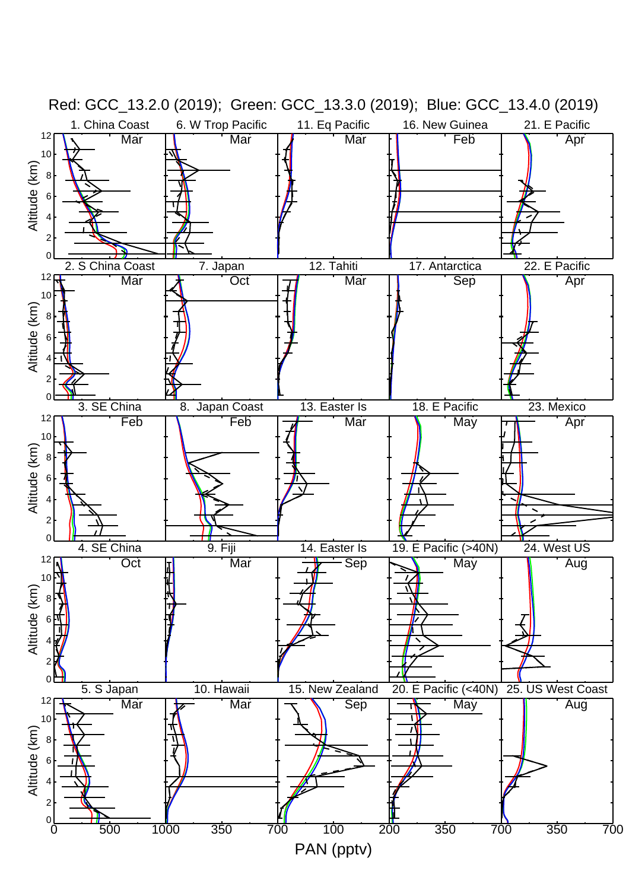